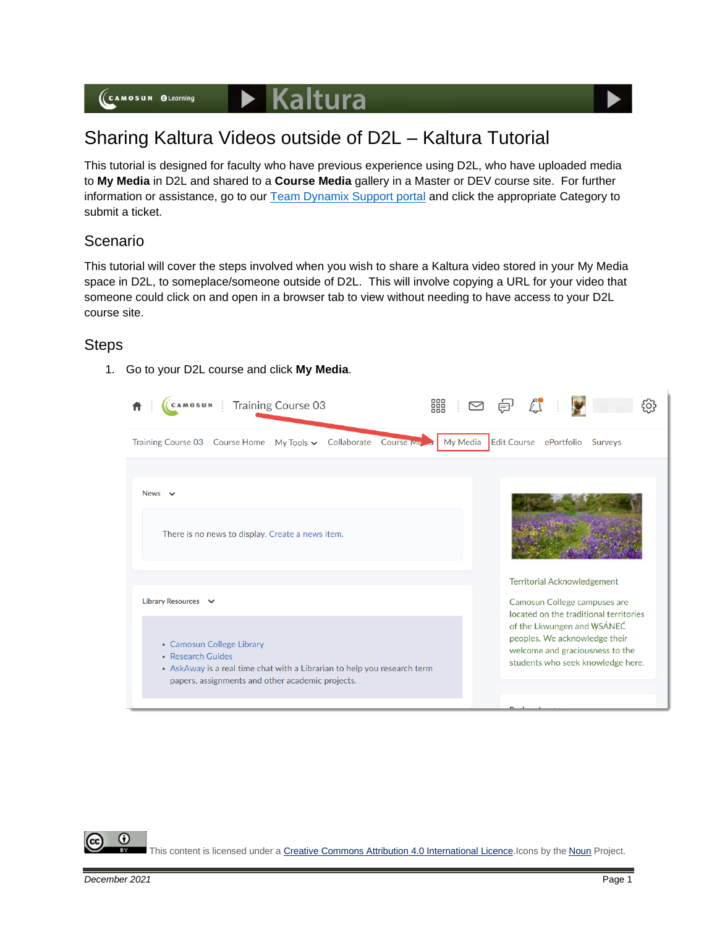## Sharing Kaltura Videos outside of D2L – Kaltura Tutorial

This tutorial is designed for faculty who have previous experience using D2L, who have uploaded media to **My Media** in D2L and shared to a **Course Media** gallery in a Master or DEV course site. For further information or assistance, go to our **Team Dynamix Support portal** and click the appropriate Category to submit a ticket.

## Scenario

This tutorial will cover the steps involved when you wish to share a Kaltura video stored in your My Media space in D2L, to someplace/someone outside of D2L. This will involve copying a URL for your video that someone could click on and open in a browser tab to view without needing to have access to your D2L course site.

## **Steps**

1. Go to your D2L course and click **My Media**.



This content is licensed under [a Creative Commons Attribution 4.0 International Licence.I](https://creativecommons.org/licenses/by/4.0/)cons by the [Noun](https://creativecommons.org/website-icons/) Project.

G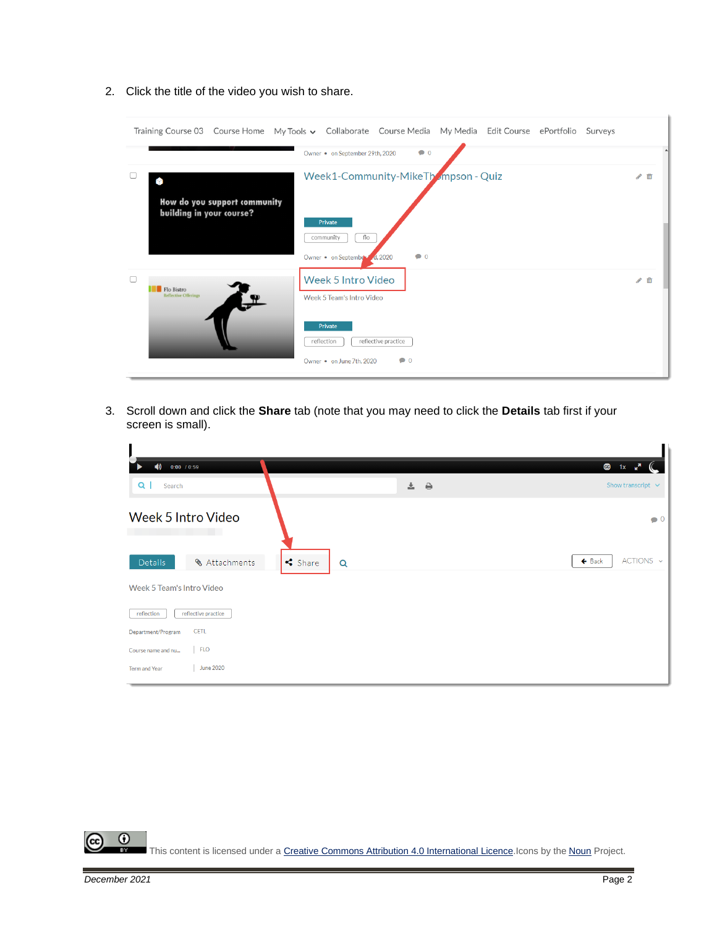2. Click the title of the video you wish to share.

|                                                          | Training Course 03 Course Home My Tools v Collaborate Course Media My Media Edit Course ePortfolio Surveys |     |
|----------------------------------------------------------|------------------------------------------------------------------------------------------------------------|-----|
|                                                          | $\bullet$ 0<br>Owner • on September 29th, 2020                                                             |     |
| How do you support community<br>building in your course? | Week1-Community-MikeThompson - Quiz<br>Private                                                             | ✔ 血 |
|                                                          | flo<br>community<br>$\bullet$ 0<br>Owner • on September 4, 2020                                            |     |
| $\Box$<br>Flo Bistro<br><b>Reflective Offerings</b>      | Week 5 Intro Video<br>Week 5 Team's Intro Video                                                            | √ Ⅲ |
|                                                          | Private<br>reflective practice<br>reflection<br>$\bullet$ 0<br>Owner • on June 7th, 2020                   |     |

3. Scroll down and click the **Share** tab (note that you may need to click the **Details** tab first if your screen is small).

| $\blacklozenge$<br>0:00 / 0:59           |                            |                 | $\bullet$ 1x $\bullet$ <sup>7</sup> |
|------------------------------------------|----------------------------|-----------------|-------------------------------------|
| Q<br>Search                              |                            | 盂<br>$\ddot{=}$ | Show transcript $\sim$              |
| <b>Week 5 Intro Video</b>                |                            |                 | $\bullet$ <sup>0</sup>              |
| <b>&amp; Attachments</b><br>Details      | $\triangleleft$ Share<br>Q |                 | ACTIONS ~<br>$\leftarrow$ Back      |
| Week 5 Team's Intro Video                |                            |                 |                                     |
| reflective practice<br>reflection        |                            |                 |                                     |
| <b>CETL</b><br>Department/Program        |                            |                 |                                     |
| <b>FLO</b><br>Course name and nu         |                            |                 |                                     |
| <b>June 2020</b><br><b>Term and Year</b> |                            |                 |                                     |

 $\overline{\odot}$ (cc

This content is licensed under [a Creative Commons Attribution 4.0 International Licence.I](https://creativecommons.org/licenses/by/4.0/)cons by the [Noun](https://creativecommons.org/website-icons/) Project.